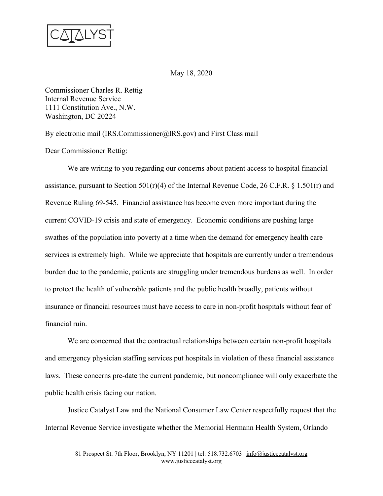

May 18, 2020

Commissioner Charles R. Rettig Internal Revenue Service 1111 Constitution Ave., N.W. Washington, DC 20224

By electronic mail (IRS.Commissioner@IRS.gov) and First Class mail

Dear Commissioner Rettig:

We are writing to you regarding our concerns about patient access to hospital financial assistance, pursuant to Section  $501(r)(4)$  of the Internal Revenue Code, 26 C.F.R. § 1.501(r) and Revenue Ruling 69-545. Financial assistance has become even more important during the current COVID-19 crisis and state of emergency. Economic conditions are pushing large swathes of the population into poverty at a time when the demand for emergency health care services is extremely high. While we appreciate that hospitals are currently under a tremendous burden due to the pandemic, patients are struggling under tremendous burdens as well. In order to protect the health of vulnerable patients and the public health broadly, patients without insurance or financial resources must have access to care in non-profit hospitals without fear of financial ruin.

We are concerned that the contractual relationships between certain non-profit hospitals and emergency physician staffing services put hospitals in violation of these financial assistance laws. These concerns pre-date the current pandemic, but noncompliance will only exacerbate the public health crisis facing our nation.

Justice Catalyst Law and the National Consumer Law Center respectfully request that the Internal Revenue Service investigate whether the Memorial Hermann Health System, Orlando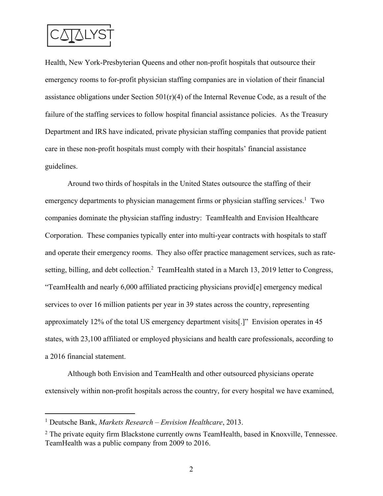

Health, New York-Presbyterian Queens and other non-profit hospitals that outsource their emergency rooms to for-profit physician staffing companies are in violation of their financial assistance obligations under Section  $501(r)(4)$  of the Internal Revenue Code, as a result of the failure of the staffing services to follow hospital financial assistance policies. As the Treasury Department and IRS have indicated, private physician staffing companies that provide patient care in these non-profit hospitals must comply with their hospitals' financial assistance guidelines.

Around two thirds of hospitals in the United States outsource the staffing of their emergency departments to physician management firms or physician staffing services.<sup>1</sup> Two companies dominate the physician staffing industry: TeamHealth and Envision Healthcare Corporation. These companies typically enter into multi-year contracts with hospitals to staff and operate their emergency rooms. They also offer practice management services, such as ratesetting, billing, and debt collection.<sup>2</sup> TeamHealth stated in a March 13, 2019 letter to Congress, "TeamHealth and nearly 6,000 affiliated practicing physicians provid[e] emergency medical services to over 16 million patients per year in 39 states across the country, representing approximately 12% of the total US emergency department visits[.]" Envision operates in 45 states, with 23,100 affiliated or employed physicians and health care professionals, according to a 2016 financial statement.

Although both Envision and TeamHealth and other outsourced physicians operate extensively within non-profit hospitals across the country, for every hospital we have examined,

<sup>1</sup> Deutsche Bank, *Markets Research – Envision Healthcare*, 2013.

 $2$  The private equity firm Blackstone currently owns TeamHealth, based in Knoxville, Tennessee. TeamHealth was a public company from 2009 to 2016.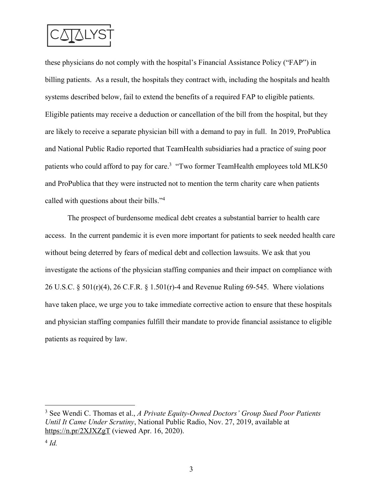

these physicians do not comply with the hospital's Financial Assistance Policy ("FAP") in billing patients. As a result, the hospitals they contract with, including the hospitals and health systems described below, fail to extend the benefits of a required FAP to eligible patients. Eligible patients may receive a deduction or cancellation of the bill from the hospital, but they are likely to receive a separate physician bill with a demand to pay in full. In 2019, ProPublica and National Public Radio reported that TeamHealth subsidiaries had a practice of suing poor patients who could afford to pay for care.<sup>3</sup> "Two former TeamHealth employees told MLK50 and ProPublica that they were instructed not to mention the term charity care when patients called with questions about their bills."4

The prospect of burdensome medical debt creates a substantial barrier to health care access. In the current pandemic it is even more important for patients to seek needed health care without being deterred by fears of medical debt and collection lawsuits. We ask that you investigate the actions of the physician staffing companies and their impact on compliance with 26 U.S.C. § 501(r)(4), 26 C.F.R. § 1.501(r)-4 and Revenue Ruling 69-545. Where violations have taken place, we urge you to take immediate corrective action to ensure that these hospitals and physician staffing companies fulfill their mandate to provide financial assistance to eligible patients as required by law.

<sup>3</sup> See Wendi C. Thomas et al., *A Private Equity-Owned Doctors' Group Sued Poor Patients Until It Came Under Scrutiny*, National Public Radio, Nov. 27, 2019, available at https://n.pr/2XJXZgT (viewed Apr. 16, 2020).

<sup>4</sup> *Id.*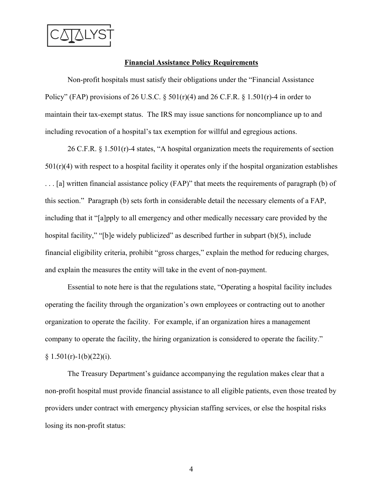

#### **Financial Assistance Policy Requirements**

Non-profit hospitals must satisfy their obligations under the "Financial Assistance Policy" (FAP) provisions of 26 U.S.C. §  $501(r)(4)$  and 26 C.F.R. § 1.501(r)-4 in order to maintain their tax-exempt status. The IRS may issue sanctions for noncompliance up to and including revocation of a hospital's tax exemption for willful and egregious actions.

26 C.F.R. § 1.501(r)-4 states, "A hospital organization meets the requirements of section  $501(r)(4)$  with respect to a hospital facility it operates only if the hospital organization establishes . . . [a] written financial assistance policy (FAP)" that meets the requirements of paragraph (b) of this section." Paragraph (b) sets forth in considerable detail the necessary elements of a FAP, including that it "[a]pply to all emergency and other medically necessary care provided by the hospital facility," "[b]e widely publicized" as described further in subpart (b)(5), include financial eligibility criteria, prohibit "gross charges," explain the method for reducing charges, and explain the measures the entity will take in the event of non-payment.

Essential to note here is that the regulations state, "Operating a hospital facility includes operating the facility through the organization's own employees or contracting out to another organization to operate the facility. For example, if an organization hires a management company to operate the facility, the hiring organization is considered to operate the facility."  $§ 1.501(r)-1(b)(22)(i).$ 

The Treasury Department's guidance accompanying the regulation makes clear that a non-profit hospital must provide financial assistance to all eligible patients, even those treated by providers under contract with emergency physician staffing services, or else the hospital risks losing its non-profit status:

4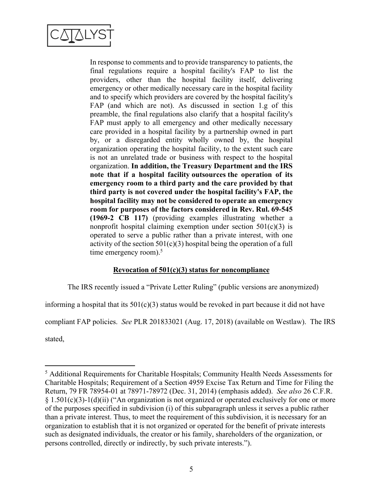

In response to comments and to provide transparency to patients, the final regulations require a hospital facility's FAP to list the providers, other than the hospital facility itself, delivering emergency or other medically necessary care in the hospital facility and to specify which providers are covered by the hospital facility's FAP (and which are not). As discussed in section 1.g of this preamble, the final regulations also clarify that a hospital facility's FAP must apply to all emergency and other medically necessary care provided in a hospital facility by a partnership owned in part by, or a disregarded entity wholly owned by, the hospital organization operating the hospital facility, to the extent such care is not an unrelated trade or business with respect to the hospital organization. **In addition, the Treasury Department and the IRS note that if a hospital facility outsources the operation of its emergency room to a third party and the care provided by that third party is not covered under the hospital facility's FAP, the hospital facility may not be considered to operate an emergency room for purposes of the factors considered in Rev. Rul. 69-545 (1969-2 CB 117)** (providing examples illustrating whether a nonprofit hospital claiming exemption under section  $501(c)(3)$  is operated to serve a public rather than a private interest, with one activity of the section  $501(c)(3)$  hospital being the operation of a full time emergency room). $5$ 

# **Revocation of 501(c)(3) status for noncompliance**

The IRS recently issued a "Private Letter Ruling" (public versions are anonymized)

informing a hospital that its  $501(c)(3)$  status would be revoked in part because it did not have

compliant FAP policies. *See* PLR 201833021 (Aug. 17, 2018) (available on Westlaw). The IRS

stated,

<sup>5</sup> Additional Requirements for Charitable Hospitals; Community Health Needs Assessments for Charitable Hospitals; Requirement of a Section 4959 Excise Tax Return and Time for Filing the Return, 79 FR 78954-01 at 78971-78972 (Dec. 31, 2014) (emphasis added). *See also* 26 C.F.R. § 1.501(c)(3)-1(d)(ii) ("An organization is not organized or operated exclusively for one or more of the purposes specified in subdivision (i) of this subparagraph unless it serves a public rather than a private interest. Thus, to meet the requirement of this subdivision, it is necessary for an organization to establish that it is not organized or operated for the benefit of private interests such as designated individuals, the creator or his family, shareholders of the organization, or persons controlled, directly or indirectly, by such private interests.").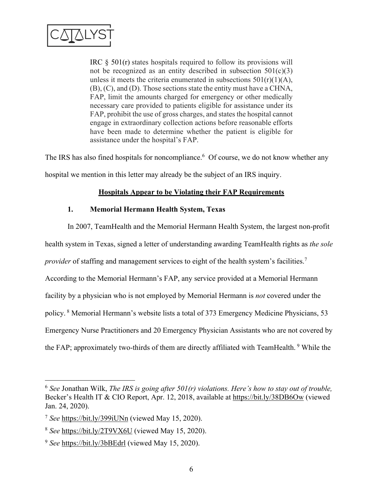

IRC  $\S$  501(r) states hospitals required to follow its provisions will not be recognized as an entity described in subsection  $501(c)(3)$ unless it meets the criteria enumerated in subsections  $501(r)(1)(A)$ , (B), (C), and (D). Those sections state the entity must have a CHNA, FAP, limit the amounts charged for emergency or other medically necessary care provided to patients eligible for assistance under its FAP, prohibit the use of gross charges, and states the hospital cannot engage in extraordinary collection actions before reasonable efforts have been made to determine whether the patient is eligible for assistance under the hospital's FAP.

The IRS has also fined hospitals for noncompliance.<sup>6</sup> Of course, we do not know whether any hospital we mention in this letter may already be the subject of an IRS inquiry.

# **Hospitals Appear to be Violating their FAP Requirements**

# **1. Memorial Hermann Health System, Texas**

In 2007, TeamHealth and the Memorial Hermann Health System, the largest non-profit health system in Texas, signed a letter of understanding awarding TeamHealth rights as *the sole provider* of staffing and management services to eight of the health system's facilities.<sup>7</sup> According to the Memorial Hermann's FAP, any service provided at a Memorial Hermann facility by a physician who is not employed by Memorial Hermann is *not* covered under the policy. <sup>8</sup> Memorial Hermann's website lists a total of 373 Emergency Medicine Physicians, 53 Emergency Nurse Practitioners and 20 Emergency Physician Assistants who are not covered by the FAP; approximately two-thirds of them are directly affiliated with TeamHealth.<sup>9</sup> While the

<sup>6</sup> *See* Jonathan Wilk, *The IRS is going after 501(r) violations. Here's how to stay out of trouble,*  Becker's Health IT & CIO Report, Apr. 12, 2018, available at https://bit.ly/38DB6Ow (viewed Jan. 24, 2020).

<sup>7</sup> *See* https://bit.ly/399iUNn (viewed May 15, 2020).

<sup>8</sup> *See* https://bit.ly/2T9VX6U (viewed May 15, 2020).

<sup>9</sup> *See* https://bit.ly/3bBEdrl (viewed May 15, 2020).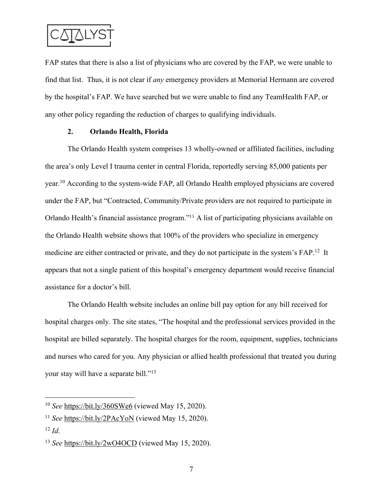

FAP states that there is also a list of physicians who are covered by the FAP, we were unable to find that list. Thus, it is not clear if *any* emergency providers at Memorial Hermann are covered by the hospital's FAP. We have searched but we were unable to find any TeamHealth FAP, or any other policy regarding the reduction of charges to qualifying individuals.

### **2. Orlando Health, Florida**

The Orlando Health system comprises 13 wholly-owned or affiliated facilities, including the area's only Level I trauma center in central Florida, reportedly serving 85,000 patients per year.10 According to the system-wide FAP, all Orlando Health employed physicians are covered under the FAP, but "Contracted, Community/Private providers are not required to participate in Orlando Health's financial assistance program."11 A list of participating physicians available on the Orlando Health website shows that 100% of the providers who specialize in emergency medicine are either contracted or private, and they do not participate in the system's FAP.12 It appears that not a single patient of this hospital's emergency department would receive financial assistance for a doctor's bill.

The Orlando Health website includes an online bill pay option for any bill received for hospital charges only. The site states, "The hospital and the professional services provided in the hospital are billed separately. The hospital charges for the room, equipment, supplies, technicians and nurses who cared for you. Any physician or allied health professional that treated you during your stay will have a separate bill."13

<sup>10</sup> *See* https://bit.ly/360SWe6 (viewed May 15, 2020).

<sup>&</sup>lt;sup>11</sup> *See* https://bit.ly/2PAcYoN (viewed May 15, 2020).

<sup>12</sup> *Id*.

<sup>13</sup> *See* https://bit.ly/2wO4OCD (viewed May 15, 2020).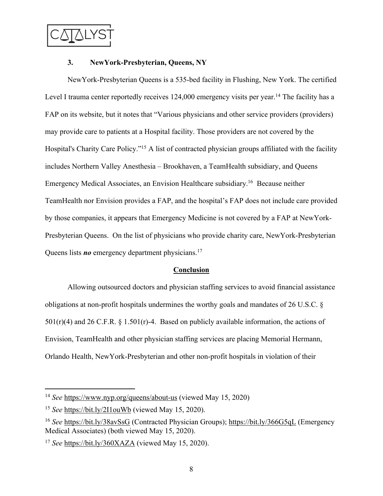

### **3. NewYork-Presbyterian, Queens, NY**

NewYork-Presbyterian Queens is a 535-bed facility in Flushing, New York. The certified Level I trauma center reportedly receives 124,000 emergency visits per year.<sup>14</sup> The facility has a FAP on its website, but it notes that "Various physicians and other service providers (providers) may provide care to patients at a Hospital facility. Those providers are not covered by the Hospital's Charity Care Policy."15 A list of contracted physician groups affiliated with the facility includes Northern Valley Anesthesia – Brookhaven, a TeamHealth subsidiary, and Queens Emergency Medical Associates, an Envision Healthcare subsidiary.16 Because neither TeamHealth nor Envision provides a FAP, and the hospital's FAP does not include care provided by those companies, it appears that Emergency Medicine is not covered by a FAP at NewYork-Presbyterian Queens. On the list of physicians who provide charity care, NewYork-Presbyterian Queens lists *no* emergency department physicians.17

# **Conclusion**

Allowing outsourced doctors and physician staffing services to avoid financial assistance obligations at non-profit hospitals undermines the worthy goals and mandates of 26 U.S.C. §  $501(r)(4)$  and 26 C.F.R. § 1.501(r)-4. Based on publicly available information, the actions of Envision, TeamHealth and other physician staffing services are placing Memorial Hermann, Orlando Health, NewYork-Presbyterian and other non-profit hospitals in violation of their

<sup>14</sup> *See* https://www.nyp.org/queens/about-us (viewed May 15, 2020)

<sup>&</sup>lt;sup>15</sup> *See* https://bit.ly/2I1ouWb (viewed May 15, 2020).

<sup>16</sup> *See* https://bit.ly/38avSsG (Contracted Physician Groups); https://bit.ly/366G5qL (Emergency Medical Associates) (both viewed May 15, 2020).

<sup>17</sup> *See* https://bit.ly/360XAZA (viewed May 15, 2020).